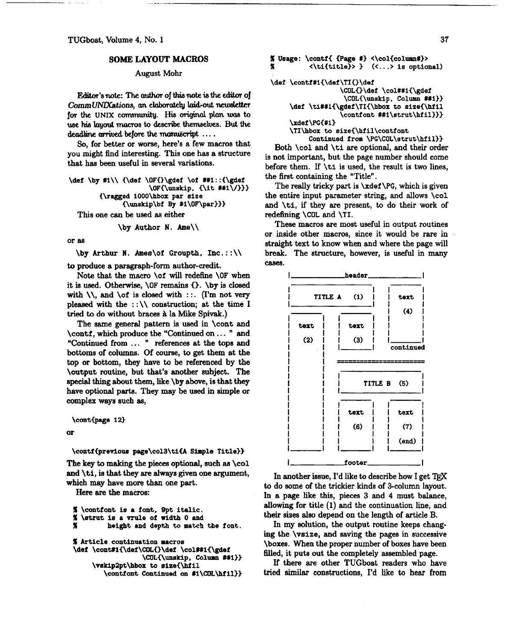## **SOME LAYOUT MACROS**

## August Mohr

Editor's note: The author of this note is the editor of CommUNIXations, an elaborately laid-out newsletter for the UNIX community. His original plan was to **use his lagout** mros to **desc\*** themse1ues. But the **deadline arrived before the manuscript ....** 

**So,** for better or worse, here's a few macros that you might find interesting. This one has a structure that has been useful in several variations.

```
\def \by #1\\ {\def \OF{}\gdef \of ##1::{\gdef
                     \OFC\uuslcip, <\it #1\/333 
        {\ragged 1000\hbox par size 
              C\uuskip\bf By #i\OF\par)))
```
This one can be used as either

```
\by Author N. he\\
```
or as

 $\forall$  Arthur N. Ames $\of$  Groupth, Inc.:: $\setminus$ 

to produce a paragraph-form author-credit.

Note that the macro \of will redefine \OF when it is used. Otherwise, \OF remains **0.** \by is closed with  $\setminus\setminus$  and  $\setminus\circ f$  is closed with : :. (I'm not very pleased with the  $::\wedge$  construction; at the time I tried to do without braces à la Mike Spivak.)

The same general pattern is used in \cont and \conti, which produce the "Continued on . . . " and "Continued from . . . " references at the tops and bottoms of columns. Of course, to get them at the top or bottom, they have to be referenced by the \output routine, but that's another subject. The special thing about them, like \by above, is that they have optional parts. They may be used in simple or complex ways such as,

\cont{page 12}

```
\alpha
```
## **\contf{previow page\col3\tifi Simple Title))**

The key to **making** the pieces optional, such **as \col**  and \ti, is that they **are** always given one argument, which **may** have more than one part.

Here are the macros:

```
% \contfont is a font, 9pt italic. 
% \strut is a mule of width 0 and 
         % height and depm to match the fonb. 
% Article continuation macros 
\def \cont#1{\def\COL{}\def \col##1{\gdef
```

```
\COLC\unskip, Column ##I33 
\vskip2pt\hbox to size{\hfil
  \contfont Continued on #l\COL\hfil))
```

```
% Usage: \contfC {Page #I <\col~colunn#)> 
           % <\tiCtitle)> (< . . . > is optional) 
\def \contf#lC\def\TI<)\def 
                   \COL{}\def \col##1{\gdef
                    \COLC\unskip, Column Mi)) 
     \def \ti##l{\gdef \TIi\hbox to size{\hf il 
                   \conti ont ##i\strut\hf ill)) 
     \xdei \PG<#I) 
     \TI\hbox to size<\hfil\contfont 
          Continued from \PG\COL\strut\hfil))
```
Both \col and \ti are optional, and their order is not important, but the page number should come before them. If \ti is used, the result is two limes, the first containing the "Title".

The really tricky part is \xdef **\PG,** which is given the entire input parameter string, **and** allows \col and \ti, if they are present, to do their work of redefining \COL and **\TI.** 

These macros **are** most useful in output routines or inside other macros, since it would be rare in . straight text to know when and where the page will break. The structure, however, is useful in many cases.



In another issue, I'd like to describe how I get  $T_{\rm F}X$ to do some of the trickier kinds of 3-colurnn layout. In a page like this, pieces 3 and 4 must balance, allowing for title (1) and the continuation line, and their sizes also depend on the length of article B.

In my solution, the output routine keeps changing the \vsize, and saving the pages in successive \boxes. When the proper number of boxes have been filled, it puts out the completely assembled page.

If there are other TUGboat readers who have tried similar constructions, I'd like to hear from